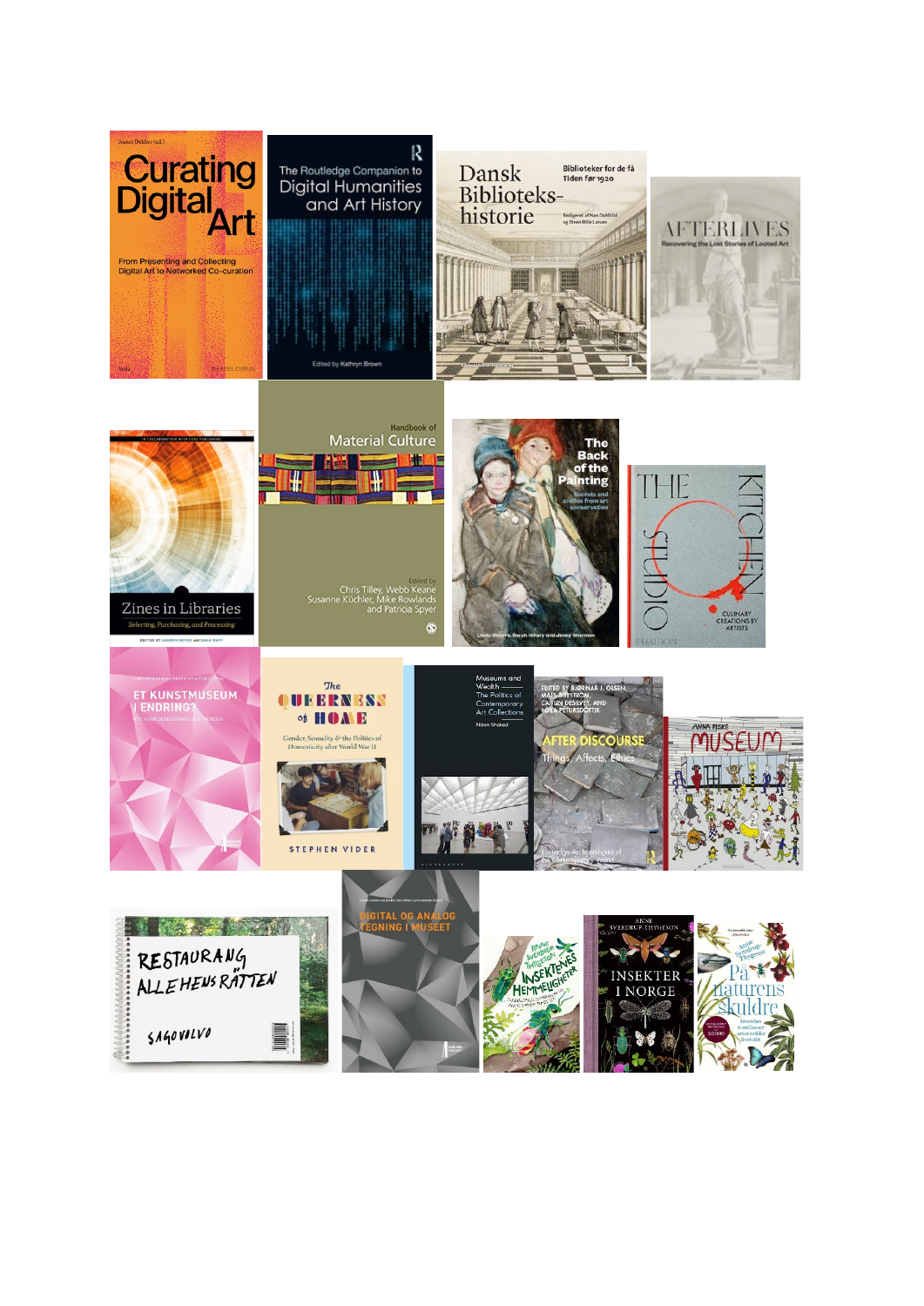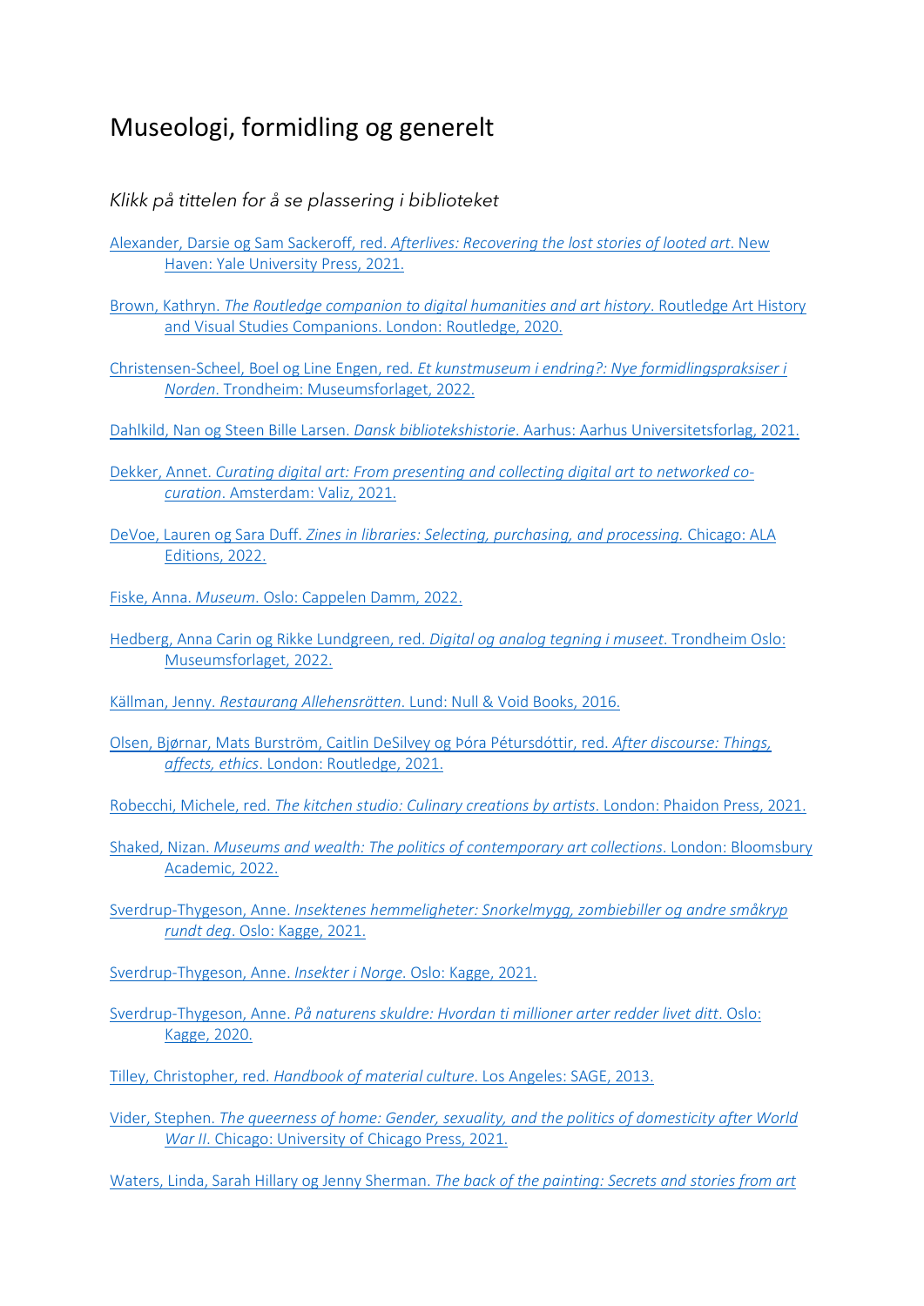## Museologi, formidling og generelt

## *Klikk på tittelen for å se plassering i biblioteket*

- Alexander, Darsie og Sam Sackeroff, red. *[Afterlives: Recovering the lost stories of looted art](https://bibsys-almaprimo.hosted.exlibrisgroup.com/permalink/f/1n8chvd/BIBSYS_ILS71641470830002201)*. New [Haven: Yale University Press, 2021.](https://bibsys-almaprimo.hosted.exlibrisgroup.com/permalink/f/1n8chvd/BIBSYS_ILS71641470830002201)
- Brown, Kathryn. *[The Routledge companion to digital humanities and art history](https://bibsys-almaprimo.hosted.exlibrisgroup.com/permalink/f/17b6085/BIBSYS_ILS71643908010002201)*. Routledge Art History [and Visual Studies Companions. London: Routledge, 2020.](https://bibsys-almaprimo.hosted.exlibrisgroup.com/permalink/f/17b6085/BIBSYS_ILS71643908010002201)
- Christensen-Scheel, Boel og Line Engen, red. *[Et kunstmuseum i endring?: Nye formidlingspraksiser i](https://bibsys-almaprimo.hosted.exlibrisgroup.com/permalink/f/1n8chvd/BIBSYS_ILS71587929630002201)  Norden*[. Trondheim: Museumsforlaget, 2022.](https://bibsys-almaprimo.hosted.exlibrisgroup.com/permalink/f/1n8chvd/BIBSYS_ILS71587929630002201)
- Dahlkild, Nan og Steen Bille Larsen. *Dansk bibliotekshistorie*[. Aarhus: Aarhus Universitetsforlag, 2021.](https://bibsys-almaprimo.hosted.exlibrisgroup.com/permalink/f/1n8chvd/BIBSYS_ILS71638529090002201)
- Dekker, Annet. *[Curating digital art: From presenting and collecting digital art to networked co](https://bibsys-almaprimo.hosted.exlibrisgroup.com/permalink/f/1n8chvd/BIBSYS_ILS71642895860002201)curation*[. Amsterdam: Valiz, 2021.](https://bibsys-almaprimo.hosted.exlibrisgroup.com/permalink/f/1n8chvd/BIBSYS_ILS71642895860002201)
- DeVoe, Lauren og Sara Duff. *[Zines in libraries: Selecting, purchasing, and processing.](https://bibsys-almaprimo.hosted.exlibrisgroup.com/permalink/f/1n8chvd/BIBSYS_ILS71643887840002201)* Chicago: ALA [Editions, 2022.](https://bibsys-almaprimo.hosted.exlibrisgroup.com/permalink/f/1n8chvd/BIBSYS_ILS71643887840002201)
- Fiske, Anna. *Museum*[. Oslo: Cappelen Damm, 2022.](https://bibsys-almaprimo.hosted.exlibrisgroup.com/permalink/f/1n8chvd/BIBSYS_ILS71639579510002201)
- [Hedberg, Anna Carin og Rikke Lundgreen, red.](https://bibsys-almaprimo.hosted.exlibrisgroup.com/permalink/f/1n8chvd/BIBSYS_ILS71605740490002201) *Digital og analog tegning i museet*. Trondheim Oslo: [Museumsforlaget, 2022.](https://bibsys-almaprimo.hosted.exlibrisgroup.com/permalink/f/1n8chvd/BIBSYS_ILS71605740490002201)
- Källman, Jenny. *Restaurang Allehensrätten*[. Lund: Null & Void Books, 2016.](https://bibsys-almaprimo.hosted.exlibrisgroup.com/permalink/f/1n8chvd/BIBSYS_ILS71644002880002201)
- [Olsen, Bjørnar, Mats Burström, Caitlin DeSilvey og Þóra Pétursdóttir, red.](https://bibsys-almaprimo.hosted.exlibrisgroup.com/permalink/f/1n8chvd/BIBSYS_ILS71611439960002201) *After discourse: Things, affects, ethics*[. London: Routledge, 2021.](https://bibsys-almaprimo.hosted.exlibrisgroup.com/permalink/f/1n8chvd/BIBSYS_ILS71611439960002201)
- Robecchi, Michele, red. *[The kitchen studio: Culinary creations by artists](https://bibsys-almaprimo.hosted.exlibrisgroup.com/permalink/f/1n8chvd/BIBSYS_ILS71644000950002201)*. London: Phaidon Press, 2021.
- Shaked, Nizan. *[Museums and wealth: The politics of contemporary art collections](https://bibsys-almaprimo.hosted.exlibrisgroup.com/permalink/f/1n8chvd/BIBSYS_ILS71644283990002201)*. London: Bloomsbury [Academic, 2022.](https://bibsys-almaprimo.hosted.exlibrisgroup.com/permalink/f/1n8chvd/BIBSYS_ILS71644283990002201)
- Sverdrup-Thygeson, Anne. *[Insektenes hemmeligheter: Snorkelmygg, zombiebiller og andre småkryp](https://bibsys-almaprimo.hosted.exlibrisgroup.com/permalink/f/1n8chvd/BIBSYS_ILS71576519790002201)  rundt deg*[. Oslo: Kagge, 2021.](https://bibsys-almaprimo.hosted.exlibrisgroup.com/permalink/f/1n8chvd/BIBSYS_ILS71576519790002201)
- [Sverdrup-Thygeson, Anne.](https://bibsys-almaprimo.hosted.exlibrisgroup.com/permalink/f/1n8chvd/BIBSYS_ILS71614999670002201) *Insekter i Norge*. Oslo: Kagge, 2021.
- Sverdrup-Thygeson, Anne. *[På naturens skuldre: Hvordan ti millioner arter redder livet ditt](https://bibsys-almaprimo.hosted.exlibrisgroup.com/permalink/f/17b6085/BIBSYS_ILS71596147920002201)*. Oslo: [Kagge, 2020.](https://bibsys-almaprimo.hosted.exlibrisgroup.com/permalink/f/17b6085/BIBSYS_ILS71596147920002201)
- Tilley, Christopher, red. *[Handbook of material culture](https://bibsys-almaprimo.hosted.exlibrisgroup.com/permalink/f/17b6085/BIBSYS_ILS71503436690002201)*. Los Angeles: SAGE, 2013.
- Vider, Stephen. *[The queerness of home: Gender, sexuality, and the politics of domesticity after World](https://bibsys-almaprimo.hosted.exlibrisgroup.com/permalink/f/17b6085/BIBSYS_ILS71644254300002201)  War II*[. Chicago: University of Chicago Press, 2021.](https://bibsys-almaprimo.hosted.exlibrisgroup.com/permalink/f/17b6085/BIBSYS_ILS71644254300002201)

Waters, Linda, Sarah Hillary og Jenny Sherman. *[The back of the painting: Secrets and stories from art](https://bibsys-almaprimo.hosted.exlibrisgroup.com/permalink/f/1n8chvd/BIBSYS_ILS71647141410002201)*